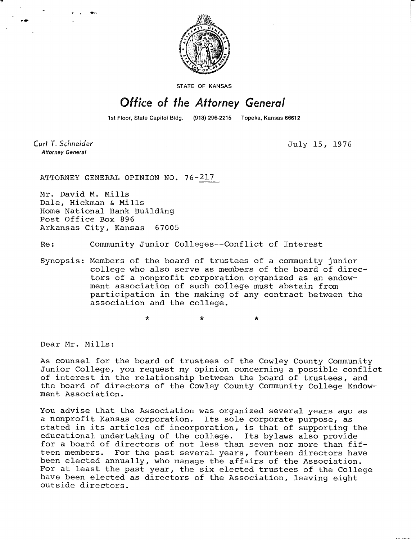

STATE OF KANSAS

## Office of the Attorney General

1st Floor, State Capitol Bldg. (913) 296-2215 Topeka, Kansas 66612

Curt T. Schneider **Attorney General** 

July 15, 1976

ATTORNEY GENERAL OPINION NO. 76-217

Mr. David M. Mills Dale, Hickman & Mills Home National Bank Building Post Office Box 896 Arkansas City, Kansas 67005

Re: Community Junior Colleges--Conflict of Interest

Synopsis: Members of the board of trustees of a community junior college who also serve as members of the board of directors of a nonprofit corporation organized as an endowment association of such college must abstain from participation in the making of any contract between the association and the college.

\*

Dear Mr. Mills:

As counsel for the board of trustees of the Cowley County Community Junior College, you request my opinion concerning a possible conflict of interest in the relationship between the board of trustees, and the board of directors of the Cowley County Community College Endowment Association.

You advise that the Association was organized several years ago as a nonprofit Kansas corporation. Its sole corporate purpose, as stated in its articles of incorporation, is that of supporting the educational undertaking of the college. Its bylaws also provide for a board of directors of not less than seven nor more than fifteen members. For the past several years, fourteen directors have been elected annually, who manage the affairs of the Association. For at least the past year, the six elected trustees of the College have been elected as directors of the Association, leaving eight outside directors.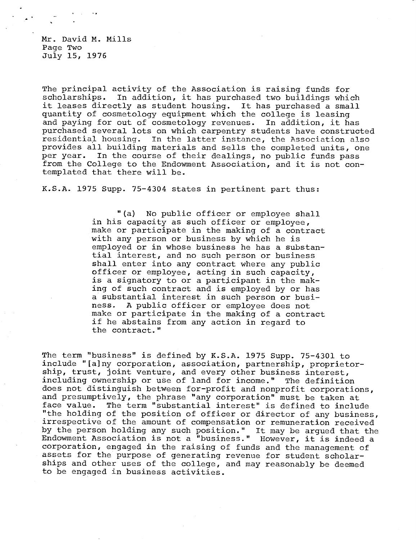Mr. David M. Mills Page Two July 15, 1976

The principal activity of the Association is raising funds for scholarships. In addition, it has purchased two buildings which it leases directly as student housing. It has purchased a small quantity of cosmetology equipment which the college is leasing and paying for out of cosmetology revenues. In addition, it has purchased several lots on which carpentry students have constructed<br>residential housing. In the latter instance, the Association also In the latter instance, the Association also provides all building materials and sells the completed units, one<br>per year. In the course of their dealings, no public funds pass In the course of their dealings, no public funds pass from the College to the Endowment Association, and it is not contemplated that there will be.

K.S.A. 1975 Supp. 75-4304 states in pertinent part thus:

"(a) No public officer or employee shall in his capacity as such officer or employee, make or participate in the making of a contract with any person or business by which he is employed or in whose business he has a substantial interest, and no such person or business shall enter into any contract where any public officer or employee, acting in such capacity, is a signatory to or a participant in the making of such contract and is employed by or has a substantial interest in such person or business. A public officer or employee does not make or participate in the making of a contract if he abstains from any action in regard to the contract."

The term "business" is defined by K.S.A. 1975 Supp. 75-4301 to include "[a]ny corporation, association, partnership, proprietorship, trust, joint venture, and every other business interest, including ownership or use of land for income." The definition does not distinguish between for-profit and nonprofit corporations, and presumptively, the phrase "any corporation" must be taken at face value. The term "substantial interest" is defined to include "the holding of the position of officer or director of any business, irrespective of the amount of compensation or remuneration received by the person holding any such position." It may be argued that the Endowment Association is not a "business." However, it is indeed a corporation, engaged in the raising of funds and the management of assets for the purpose of generating revenue for student scholarships and other uses of the college, and may reasonably be deemed to be engaged in business activities.